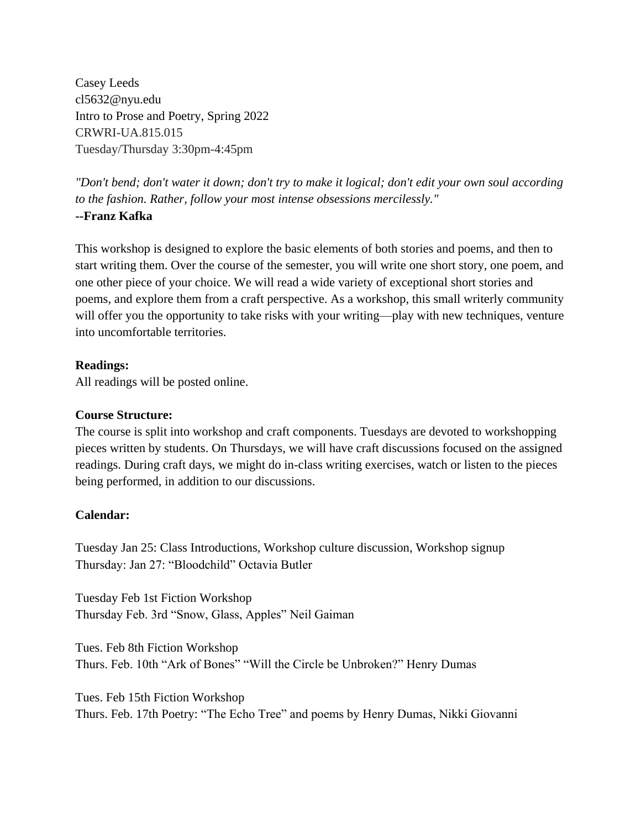Casey Leeds cl5632@nyu.edu Intro to Prose and Poetry, Spring 2022 CRWRI-UA.815.015 Tuesday/Thursday 3:30pm-4:45pm

*"Don't bend; don't water it down; don't try to make it logical; don't edit your own soul according to the fashion. Rather, follow your most intense obsessions mercilessly."* **--Franz Kafka**

This workshop is designed to explore the basic elements of both stories and poems, and then to start writing them. Over the course of the semester, you will write one short story, one poem, and one other piece of your choice. We will read a wide variety of exceptional short stories and poems, and explore them from a craft perspective. As a workshop, this small writerly community will offer you the opportunity to take risks with your writing—play with new techniques, venture into uncomfortable territories.

## **Readings:**

All readings will be posted online.

## **Course Structure:**

The course is split into workshop and craft components. Tuesdays are devoted to workshopping pieces written by students. On Thursdays, we will have craft discussions focused on the assigned readings. During craft days, we might do in-class writing exercises, watch or listen to the pieces being performed, in addition to our discussions.

## **Calendar:**

Tuesday Jan 25: Class Introductions, Workshop culture discussion, Workshop signup Thursday: Jan 27: "Bloodchild" Octavia Butler

Tuesday Feb 1st Fiction Workshop Thursday Feb. 3rd "Snow, Glass, Apples" Neil Gaiman

Tues. Feb 8th Fiction Workshop Thurs. Feb. 10th "Ark of Bones" "Will the Circle be Unbroken?" Henry Dumas

Tues. Feb 15th Fiction Workshop Thurs. Feb. 17th Poetry: "The Echo Tree" and poems by Henry Dumas, Nikki Giovanni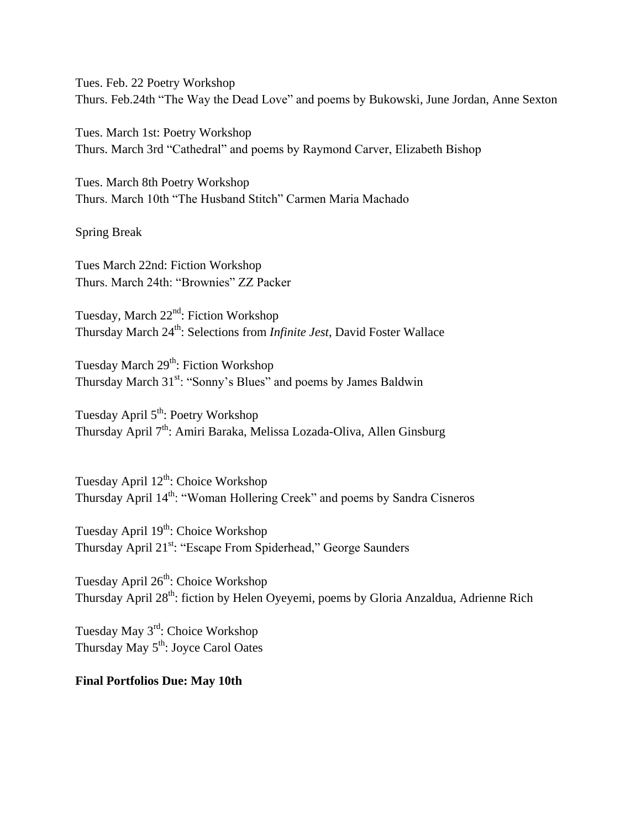Tues. Feb. 22 Poetry Workshop Thurs. Feb.24th "The Way the Dead Love" and poems by Bukowski, June Jordan, Anne Sexton

Tues. March 1st: Poetry Workshop Thurs. March 3rd "Cathedral" and poems by Raymond Carver, Elizabeth Bishop

Tues. March 8th Poetry Workshop Thurs. March 10th "The Husband Stitch" Carmen Maria Machado

Spring Break

Tues March 22nd: Fiction Workshop Thurs. March 24th: "Brownies" ZZ Packer

Tuesday, March 22<sup>nd</sup>: Fiction Workshop Thursday March 24<sup>th</sup>: Selections from *Infinite Jest*, David Foster Wallace

Tuesday March 29<sup>th</sup>: Fiction Workshop Thursday March 31<sup>st</sup>: "Sonny's Blues" and poems by James Baldwin

Tuesday April 5<sup>th</sup>: Poetry Workshop Thursday April 7<sup>th</sup>: Amiri Baraka, Melissa Lozada-Oliva, Allen Ginsburg

Tuesday April 12<sup>th</sup>: Choice Workshop Thursday April  $14<sup>th</sup>$ : "Woman Hollering Creek" and poems by Sandra Cisneros

Tuesday April 19<sup>th</sup>: Choice Workshop Thursday April 21<sup>st</sup>: "Escape From Spiderhead," George Saunders

Tuesday April 26<sup>th</sup>: Choice Workshop Thursday April 28<sup>th</sup>: fiction by Helen Oyeyemi, poems by Gloria Anzaldua, Adrienne Rich

Tuesday May 3<sup>rd</sup>: Choice Workshop Thursday May 5<sup>th</sup>: Joyce Carol Oates

## **Final Portfolios Due: May 10th**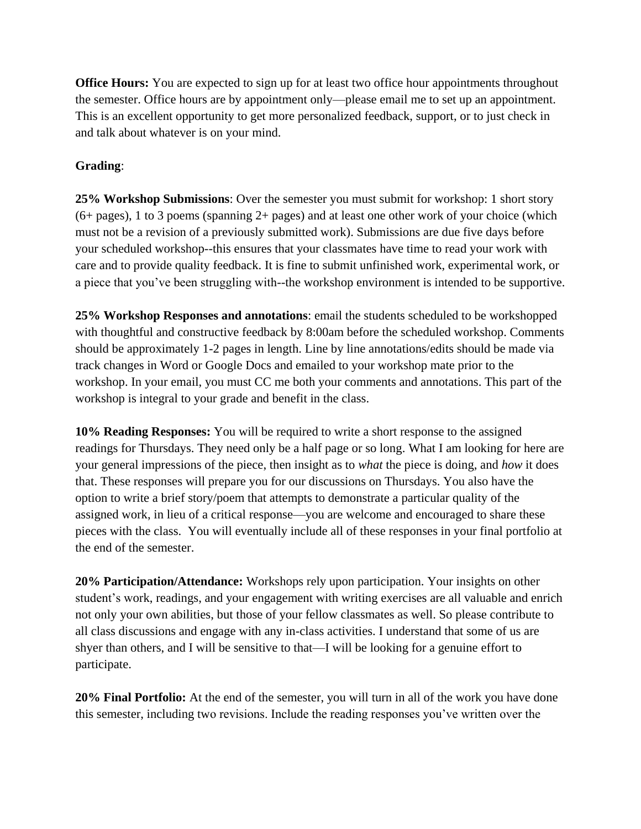**Office Hours:** You are expected to sign up for at least two office hour appointments throughout the semester. Office hours are by appointment only—please email me to set up an appointment. This is an excellent opportunity to get more personalized feedback, support, or to just check in and talk about whatever is on your mind.

# **Grading**:

**25% Workshop Submissions**: Over the semester you must submit for workshop: 1 short story  $(6+)$  pages), 1 to 3 poems (spanning  $2+$  pages) and at least one other work of your choice (which must not be a revision of a previously submitted work). Submissions are due five days before your scheduled workshop--this ensures that your classmates have time to read your work with care and to provide quality feedback. It is fine to submit unfinished work, experimental work, or a piece that you've been struggling with--the workshop environment is intended to be supportive.

**25% Workshop Responses and annotations**: email the students scheduled to be workshopped with thoughtful and constructive feedback by 8:00am before the scheduled workshop. Comments should be approximately 1-2 pages in length. Line by line annotations/edits should be made via track changes in Word or Google Docs and emailed to your workshop mate prior to the workshop. In your email, you must CC me both your comments and annotations. This part of the workshop is integral to your grade and benefit in the class.

**10% Reading Responses:** You will be required to write a short response to the assigned readings for Thursdays. They need only be a half page or so long. What I am looking for here are your general impressions of the piece, then insight as to *what* the piece is doing, and *how* it does that. These responses will prepare you for our discussions on Thursdays. You also have the option to write a brief story/poem that attempts to demonstrate a particular quality of the assigned work, in lieu of a critical response—you are welcome and encouraged to share these pieces with the class. You will eventually include all of these responses in your final portfolio at the end of the semester.

**20% Participation/Attendance:** Workshops rely upon participation. Your insights on other student's work, readings, and your engagement with writing exercises are all valuable and enrich not only your own abilities, but those of your fellow classmates as well. So please contribute to all class discussions and engage with any in-class activities. I understand that some of us are shyer than others, and I will be sensitive to that—I will be looking for a genuine effort to participate.

**20% Final Portfolio:** At the end of the semester, you will turn in all of the work you have done this semester, including two revisions. Include the reading responses you've written over the